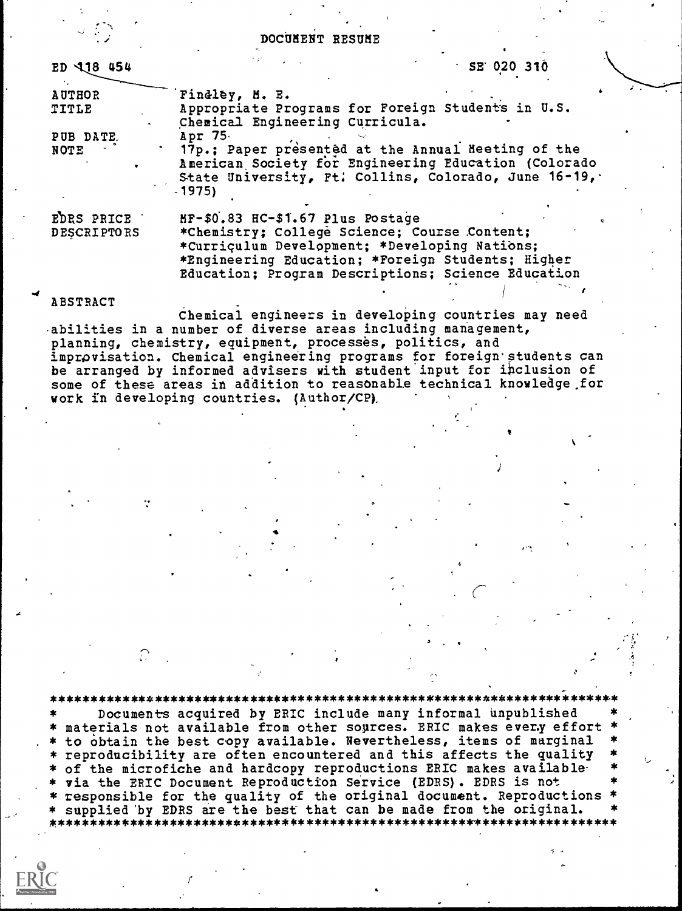## DOCUMENT RESUME

| ED 118 454         | $5E$ 020 310                                                                                                                                                                  |
|--------------------|-------------------------------------------------------------------------------------------------------------------------------------------------------------------------------|
| AUTHOR             | Findley, M. E.                                                                                                                                                                |
| TITLE              | Appropriate Programs for Foreign Students in U.S.<br>Chemical Engineering Curricula.                                                                                          |
| PUB DATE.          | Apr 75.                                                                                                                                                                       |
| NOTE               | 17p.; Paper presented at the Annual Meeting of the<br>American Society for Engineering Education (Colorado<br>State University, Ft. Collins, Colorado, June 16-19,<br>$-1975$ |
| EDRS PRICE         | MF-\$0.83 HC-\$1.67 Plus Postage                                                                                                                                              |
| <b>DESCRIPTORS</b> | *Chemistry; College Science; Course Content;<br>*Curriculum Development; *Developing Nations;                                                                                 |
|                    | *Engineering Education; *Foreign Students; Higher                                                                                                                             |
|                    | Education; Program Descriptions; Science Education                                                                                                                            |
|                    |                                                                                                                                                                               |

**ABSTRACT** 

Chemical engineers in developing countries may need -abilities in a number of diverse areas including management, planning, chemistry, equipment, processes, politics, and improvisation. Chemical engineering programs for foreign students can be arranged by informed advisers with student input for inclusion of some of these areas in addition to reasonable technical knowledge,for work in developing countries. (Author/CP),

#### \*\*\*\*\*\*\*\*\*\*\*\*\*\*\*\*\*\*\*\*\*\*\*\*\*\*\*\*\*\*\*\*\*\*\*\*\*\*\*\*\*\*\*\*\*\*\*\*\*\*\*\*\*\*\*\*\*\*\*\*\*\*\*\*\*\*\*\*\*\*\*

Documents acquired by ERIC include many informal unpublished \* materials not available from other sources. ERIC makes every effort . \* to obtain the best copy available. Nevertheless, items of marginal \* \* reproducibility are often encountered and this affects the quality \* of the microfiche and hardcopy reproductions ERIC makes available via the ERIC Document Reproduction Service (EDRS). EDRS is not responsible for the quality of the original document. Reproductions supplied by EDRS are the best that can be made from the original. ,k\*\*\*\*\*\*\*\*\*\*\*\*\*\*\*\*\*\*\*\*\*\*\*\*\*\*\*\*\*\*\*\*\*\*\*\*\*\*\*\*\*\*\*\*\*\*\*\*\*\*\*\*\*\*\*\*\*\*\*\*\*\*\*\*\*\*\*\*\*\*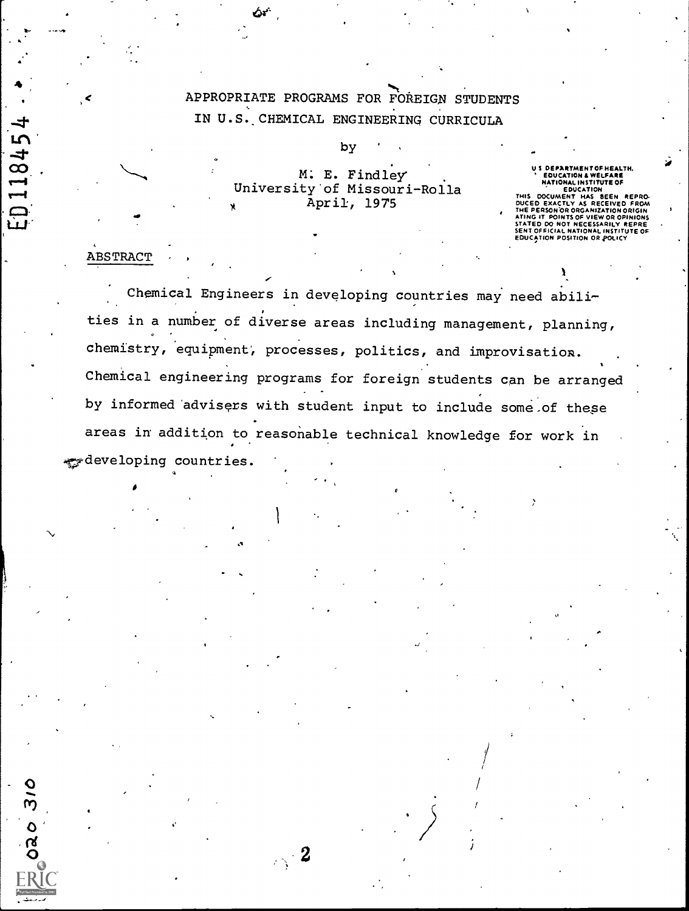APPROPRIATE PROGRAMS FOR FOREIGN STUDENTS IN U.S. CHEMICAL ENGINEERING CURRICULA

> M. E. Findley University'of Missouri-Rolla April, 1975

by

US DEPARTMENTOF HEALTH,<br>
"EDUCATION & WELFARE<br>
"MATIONAL INSTITUTE OF<br>
"EDUCATION<br>
"EDUCATION ANS BEEN REPRODUCED EXACTLY AS RECEIVED FROM<br>
NING IT POINTS OF VIEW OR OPINIONS<br>
ATING IT POINTS OF VIEW OR OPINIONS<br>
STATED DO

## ABSTRACT

ti<br>ti

 $\mathbf{L}$ 

 $\infty$  . The set of  $\infty$ 

 $\sqrt{2}$ 

Chemical Engineers in developing countries may need abilities in a number of diverse areas including management, planning, chemistry, equipment', processes, politics, and improvisation. Chemical engineering programs for foreign students can be arranged by informed' advisers with student input to include some,of these areas in addition to reasonable technical knowledge for work in developing countries.

 $\mathbb{Z}^2$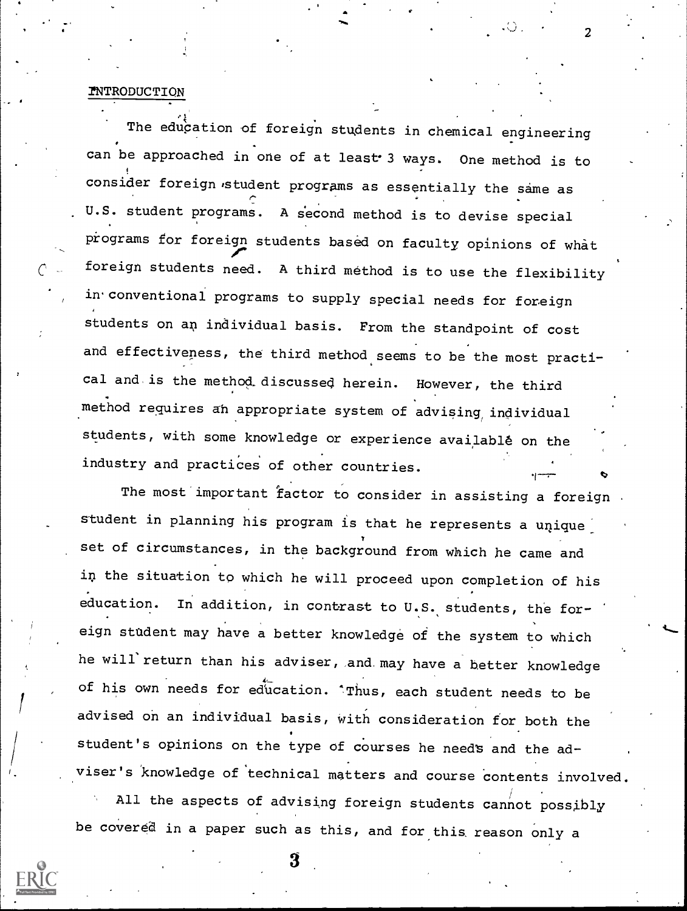#### *INTRODUCTION*

The education of foreign students in chemical engineering can be approached in one of at least 3 ways. One method is to consider foreign student programs as essentially the same as U.S. student programs. A second method is to devise special programs for foreign students based on faculty opinions of what foreign students need. A third method is to use the flexibility in. conventional programs to supply special needs for foreign students on an individual basis. From the standpoint of cost and effectiveness, the third method seems to be the most practical and is the method.discussed herein. However, the third method requires an appropriate system of advising individual students, with some knowledge or experience available on the industry and practices of other countries.

r y l

 $\boldsymbol{z}$  , the set of  $\boldsymbol{z}$ 

The most important factor to consider in assisting a foreign student in planning his program is that he represents a unique set of circumstances, in the background from which he came and in the situation to which he will proceed upon completion of his education. In addition, in contrast to U.S. students, the foreign sttdent may have a better knowledge of the system to which he will'return than his adviser, and. may have a better knowledge of his own needs for education. 'Thus, each student needs to be advised on an individual basis, with consideration for both the student's opinions on the type of courses he need's and the adviser's knowledge of 'technical matters and course contents involved.

All the aspects of advising foreign students cannot possibly be covered in a paper such as this, and for this reason only <sup>a</sup>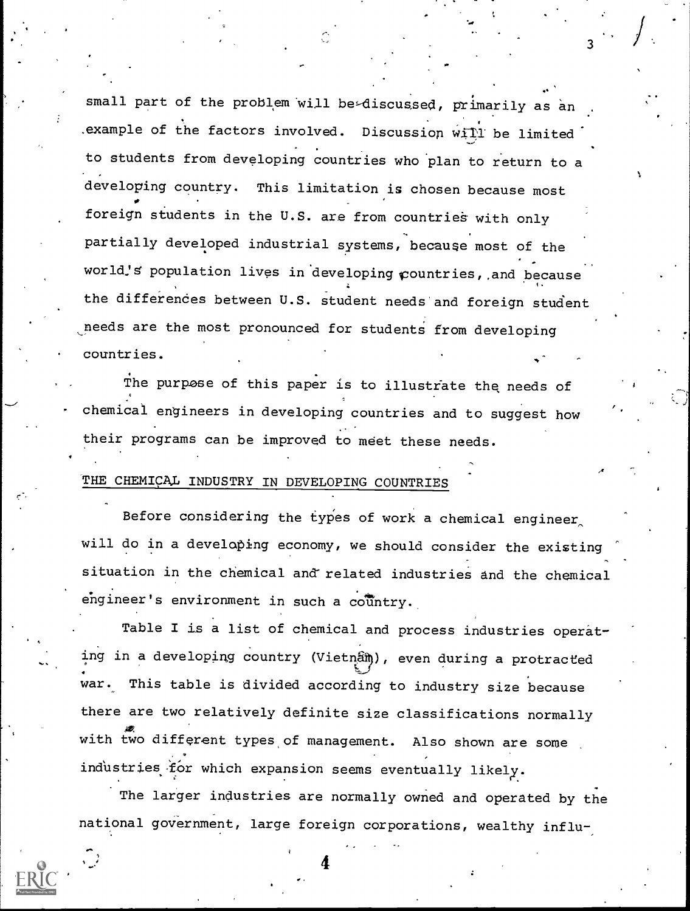small part of the problem will be-discussed, primarily as an .example of the factors involved. Discussion  $\sqrt{v}$  ill be limited to students from developing countries who plan to return to a developing country. This limitation is chosen because most foreign students in the U.S. are from countries with only partially developed industrial systems, because most of the world's population lives in developing countries, and because the differences between U.S. student needs and foreign student needs are the most pronounced for students from developing countries.

The purpose of this paper is to illustrate the needs of chemical engineers in developing countries and to suggest how their programs can be improved to meet these needs.

# THE CHEMICAL INDUSTRY IN DEVELOPING COUNTRIES

Before considering the types of work a chemical engineer, will do in a developing economy, we should consider the existing situation in the chemical and'related industries and the chemical  $e$ ngineer's environment in such a country.

Table I is a list of chemical and process industries operating in a developing country (Vietnam), even during a protracted war. This table is divided according to industry size because there are two relatively definite size classifications normally with two different types of management. Also shown are some industries for which expansion seems eventually likely.

The larger industries are normally owned and operated by the national government, large foreign corporations, wealthy influ-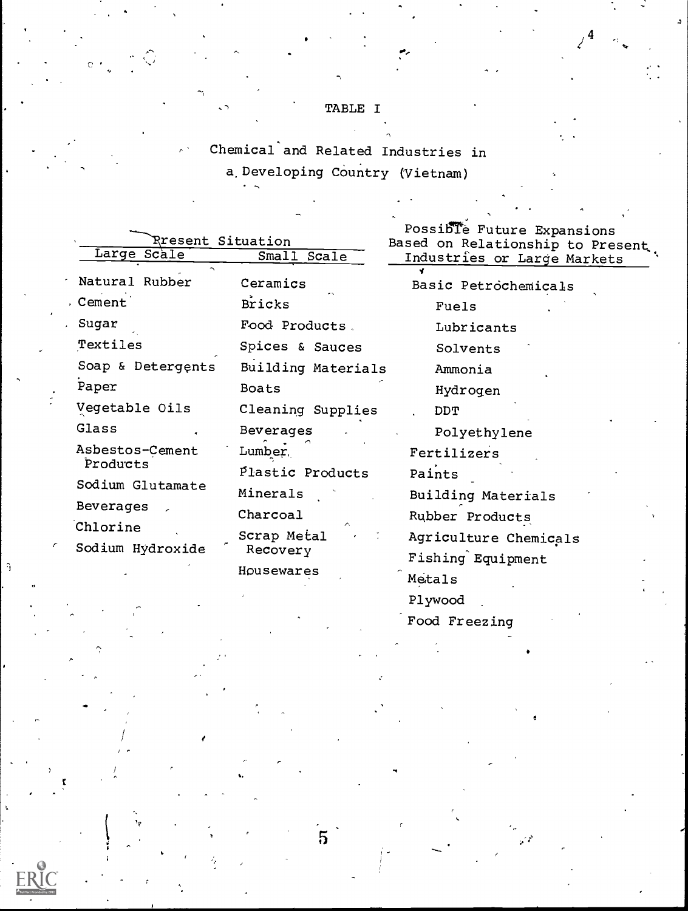# TABLE I

Chemical and Related Industries in a. Developing Country (Vietnam)

|  | Rresent Situation |                    | Possible Future Expansions<br>Based on Relationship to Present |  |
|--|-------------------|--------------------|----------------------------------------------------------------|--|
|  | Large Scale       | Small Scale        | Industries or Large Markets                                    |  |
|  | Natural Rubber    | Ceramics           |                                                                |  |
|  | . Cement          | <b>Bricks</b>      | Basic Petrochemicals<br>Fuels                                  |  |
|  | Sugar             | Food Products.     | Lubricants                                                     |  |
|  | Textiles          | Spices & Sauces    | Solvents                                                       |  |
|  | Soap & Detergents | Building Materials | Ammonia                                                        |  |
|  | Paper             | <b>Boats</b>       | Hydrogen                                                       |  |
|  | Vegetable Oils    | Cleaning Supplies  | <b>DDT</b>                                                     |  |
|  | Glass             | Beverages          | Polyethylene                                                   |  |
|  | Asbestos-Cement   | Lumber,            | Fertilizers                                                    |  |
|  | Products          | Plastic Products   | Paints                                                         |  |
|  | Sodium Glutamate  | Minerals           | Building Materials                                             |  |
|  | Beverages         | Charcoal           | Rubber Products                                                |  |
|  | Chlorine          | Scrap Metal        | Agriculture Chemicals                                          |  |
|  | Sodium Hydroxide  | Recovery           | Fishing Equipment                                              |  |
|  |                   | Housewares         | Metals                                                         |  |
|  |                   |                    |                                                                |  |

 $\overline{5}$ 

 $\hat{a}$ 

Plywood

Food Freezing

 $4 \rightarrow$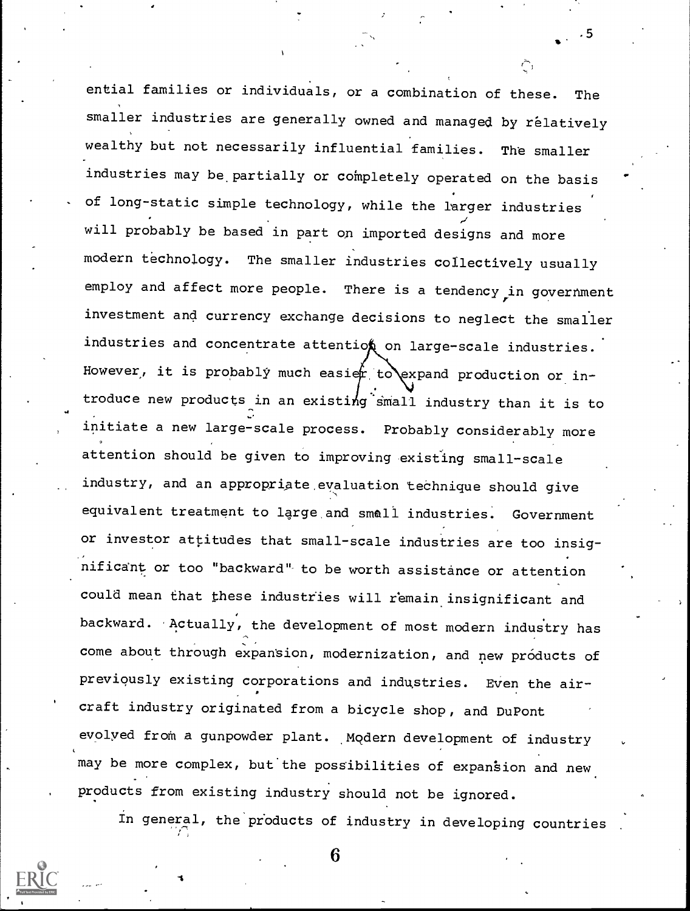ential families or individuals, or a combination of these. The smaller industries are generally owned and managed by relatively wealthy but not necessarily influential families. The smaller industries may be. partially or completely operated on the basis of long-static simple technology, while the larger industries will probably be based in part on imported designs and more modern technology. The smaller industries collectively usually employ and affect more people. There is a tendency in government investment and currency exchange decisions to neglect the smaller industries and concentrate attention on large-scale industries. However, it is probably much easier to expand production or introduce new products in an existing small industry than it is to initiate a new large-scale process. Probably considerably more attention should be given to improving existing small-scale industry, and an appropriate,evaluation technique should give equivalent treatment to large and small industries. Government or investor attitudes that small-scale industries are too insignificant or too "backward" to be worth assistance or attention could mean that these industries will remain insignificant and backward. Actually, the development of most modern industry has come about through expansion, modernization, and new products of previously existing corporations and industries. Even the aircraft industry originated from a bicycle shop, and DuPont evolyed from a gunpowder plant. Modern development of industry may be more complex, but the possibilities of expansion and new products from existing industry should not be ignored.

 $.5$  and  $.5$ 

In general, the products of industry in developing countries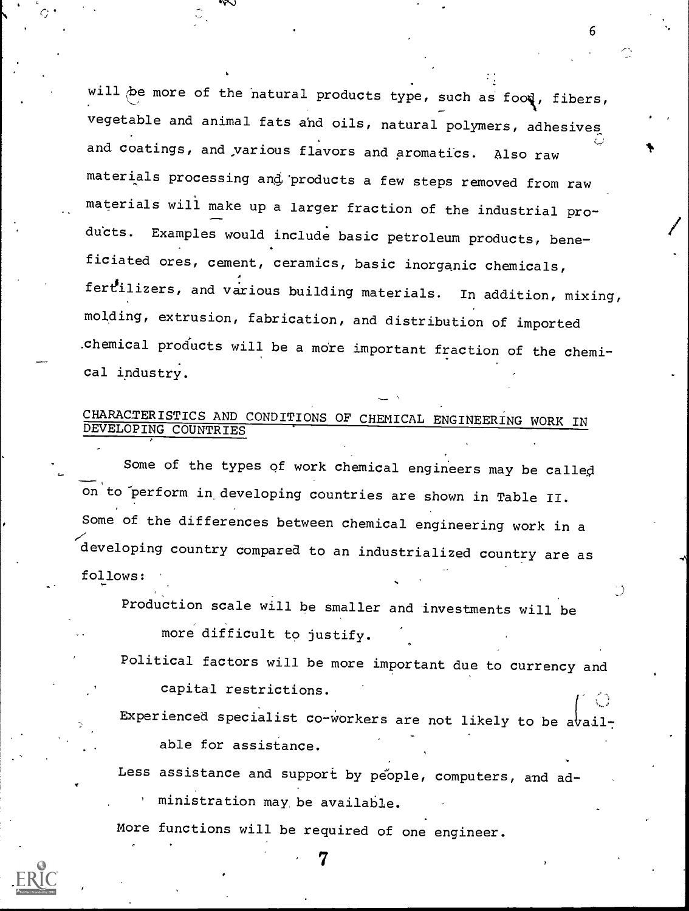will be more of the natural products type, such as food, fibers, vegetable and animal fats and oils, natural polymers, adhesives and coatings, and various flavors and aromatics. Also raw materials processing and products a few steps removed from raw materials will make up a larger fraction of the industrial products. Examples would include basic petroleum products, beneficiated ores, cement, ceramics, basic inorganic chemicals, fertilizers, and various building materials. In addition, mixing, molding, extrusion, fabrication, and distribution of imported .chemical products will be a more important fraction of the chemical industry.

# CHARACTERISTICS AND CONDITIONS OF CHEMICAL ENGINEERING WORK IN DEVELOPING COUNTRIES

Some of the types of work chemical engineers may be called on to perform in developing countries are shown in Table II. Some of the differences between chemical engineering work in <sup>a</sup> developing country compared to an industrialized country are as follows:

Production scale will be smaller and investments will be more difficult to justify.

Political factors will be more important due to currency and capital restrictions.

Experienced specialist co-workers are not likely to be available for assistance.

7

Less assistance and support by people, computers, and ad-

ministration may, be available.

More functions will be required of one engineer.

6

 $\mathbf{r}$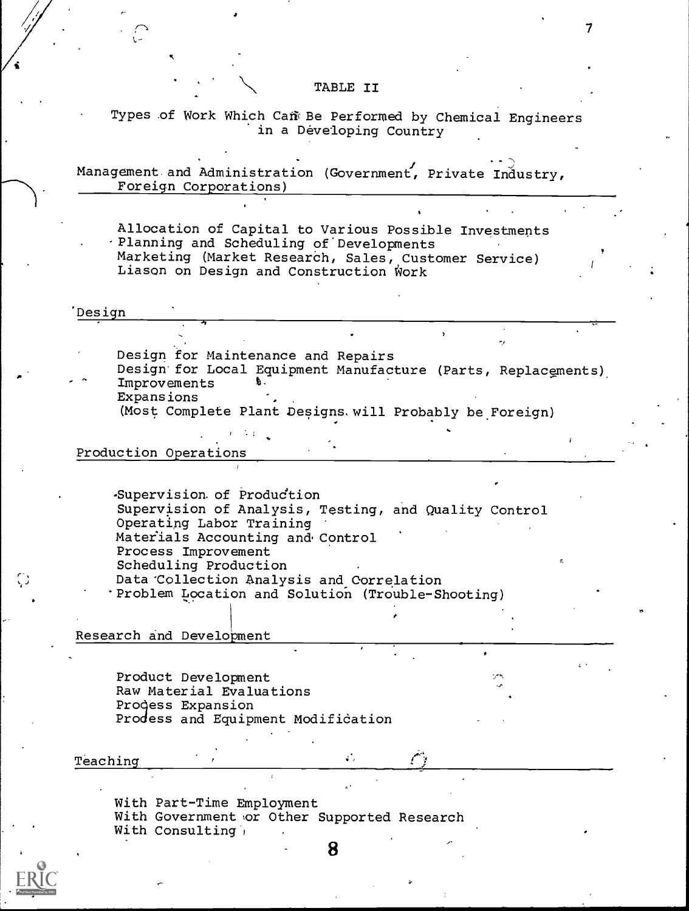## TABLE II

Types of Work Which Can Be Performed by Chemical Engineers in a Developing Country

Management and Administration (Government, Private Industry, Foreign Corporations)

Allocation of Capital to Various Possible Investments -Planning and Scheduling of'Developments Marketing (Market Research, Sales, Customer Service) Liason on Design and Construction Work

#### 'Design

Design for Maintenance and Repairs Design'for Local Equipment Manufacture (Parts, Replacements) Improvements Expansions

(Most Complete Plant Designs, will Probably be Foreign)

## Production Operations

-Supervision of Produdtion Supervision of Analysis, Testing, and Quality Control Operatipg Labor Training Materials Accounting and Control Process Improvement Scheduling Production Data' Collection Analysis and Correlation 'Problem Location and Solution (Trouble-Shooting)

Research and Development

Product Development Raw Material Evaluations Progess Expansion Prodess and Equipment Modification

### Teaching

r-,

With Part-Time Employment With Government or Other Supported Research With Consulting,

8

έVΙ.

7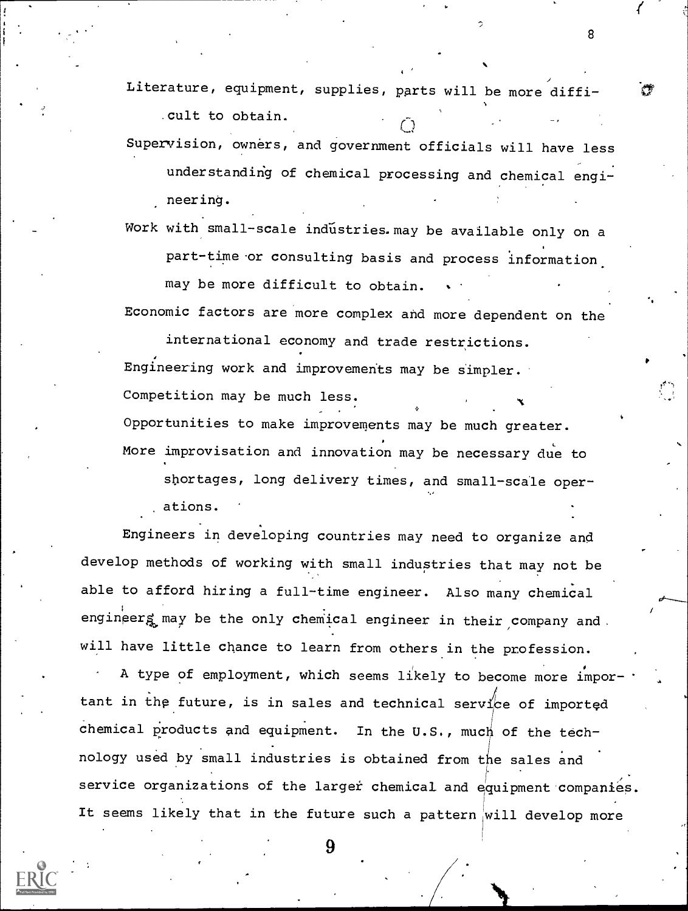Literature, equipment, supplies, parts will be more diffi-

8

. Cult to obtain.  $\tilde{Q}$ Supervision, owners, and government officials will have less understanding of chemical processing and chemical engineering.

Work with small-scale industries. may be available only on a part-time or consulting basis and process information. may be more difficult to obtain.

Economic factors are more complex and more dependent on the

international economy and trade restrictions. Engineering work and improvements may be simpler. Competition may be much less. Opportunities to make improvements may be much greater. More improvisation and innovation may be necessary due to

shortages, long delivery times, and small-scale operations.

Engineers in developing countries may need to organize and develop methods of working with small industries that may not be able to afford hiring a full-time engineer. Also many chemical engineerg may be the only chemical engineer in their company and. will have little chance to learn from others in the profession.

A type of employment, which seems likely to become more important in the future, is in sales and technical service of imported chemical products and equipment. In the U.S., much of the technology used by small industries is obtained from the sales and service organizations of the larger chemical and equipment companies. It seems likely that in the future such a pattern will develop more

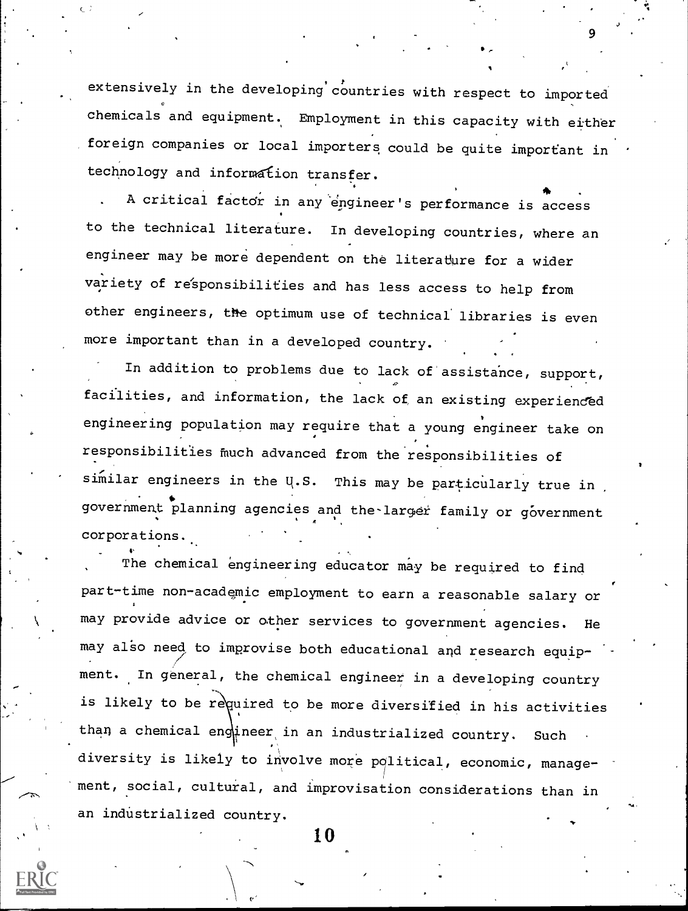extensively in the developing countries with respect to imported chemicals and equipment. Employment in this capacity with either foreign companies or local importers could be quite important in technology and information transfer.

 $\mathcal{I}$  and  $\mathcal{I}$ 9

A critical factdr in any engineer's performance is access to the technical literature. In developing countries, where an engineer may be more dependent on the literature for a wider variety of responsibilities and has less access to help from other engineers, the optimum use of technical' libraries is even more important than in a developed country.

In addition to problems due to lack of assistance, support,  $\mathcal{Q}$  and  $\mathcal{Q}$ facilities, and information, the lack of, an existing experienced engineering population may require that a young engineer take on responsibilities fiuch advanced from the responsibilities of similar engineers in the U.S. This may be particularly true in government planning agencies and the larger family or government corporations.

The chemical engineering educator may be required to find part-time non-academic employment to earn a reasonable salary or may provide advice or other services to government agencies. He may also need to improvise both educational and research equipment. In general, the chemical engineer in a developing country is likely to be required to be more diversified in his activities than a chemical engther, in an industrialized country. Such diversity is likely to involve more political, economic, management, social, cultural, and improvisation considerations than in an industrialized country.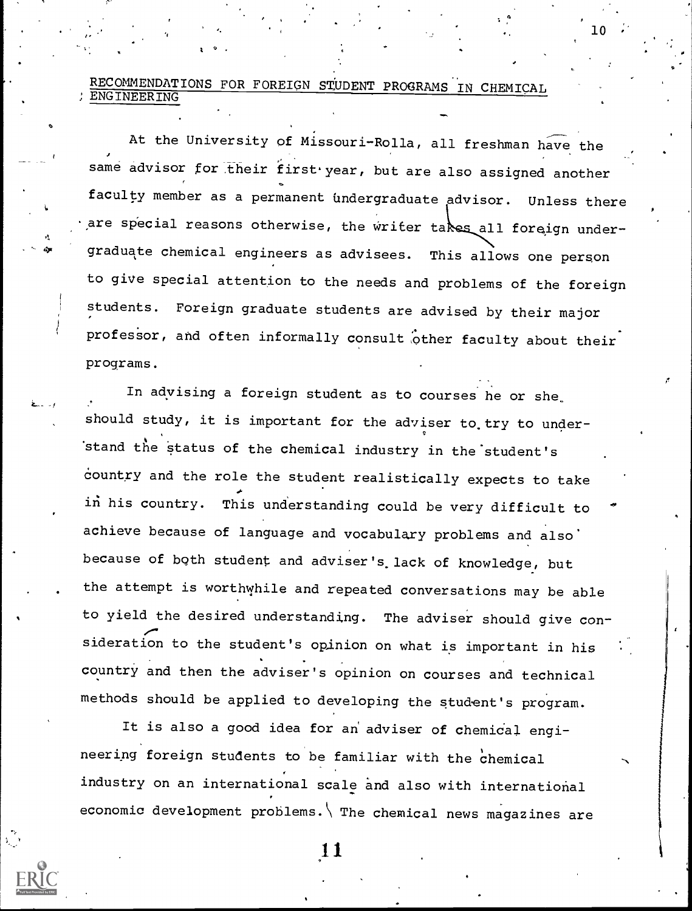RECOMMENDATIONS FOR FOREIGN STUDENT PROGRAMS IN CHEMICAL ENGINEERING

At the University of Missouri-Rolla, all freshman have the same advisor for their first year, but are also assigned another faculty member as a permanent undergraduate advisor. Unless there are special reasons otherwise, the writer takes all foreign undergraduate chemical engineers as advisees. This allows one person to give special attention to the needs and problems of the foreign students. Foreign graduate students are advised by their major professor, and often informally consult other faculty about their programs.

 $10$  .

In advising a foreign student as to courses he or she should study, it is important for the adviser to try to under-'stand the status of the chemical industry in the'student's country and the role the student realistically expects to take in his country. This understanding could be very difficult to achieve because of language and vocabulary problems and also because of both student and adviser's lack of knowledge, but the attempt is worthwhile and repeated conversations may be able to yield the desired understanding. The adviser should give consideration to the student's opinion on what is important in his country and then the adviser's opinion on courses and technical methods should be applied to developing the student's program.

It is also a good idea for an adviser of chemical engineering foreign students to be familiar with the chemical industry on an international scale and also with international economic development problems. The chemical news magazines are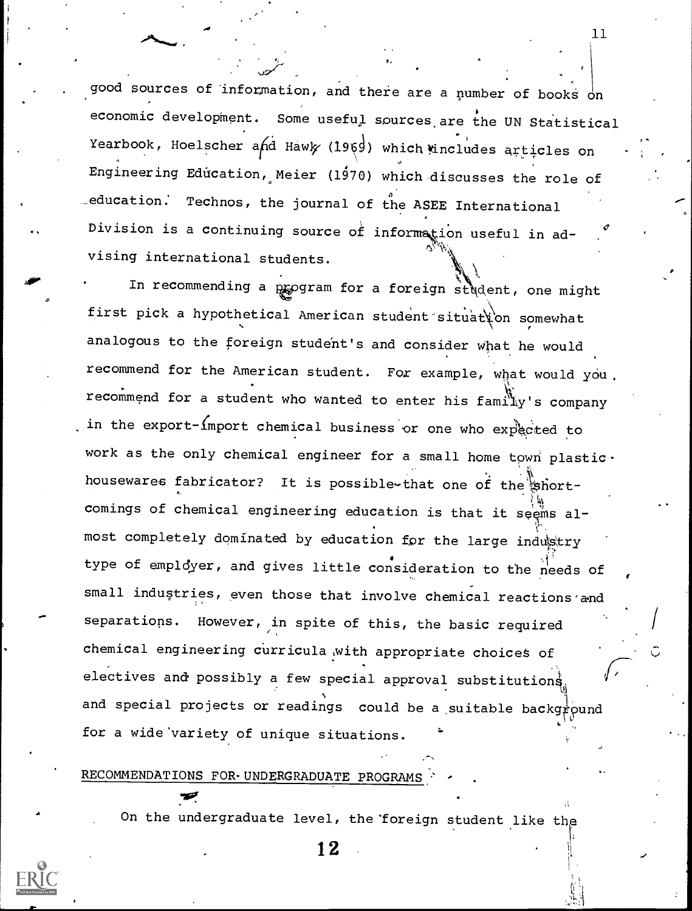good sources of information, and there are a number of books on economic development. Some useful sources are the UN Statistical Yearbook, Hoelscher and Hawk (1969) which tincludes articles on Engineering Education, Meier (1970) which discusses the role of  $\_$ education. Technos, the journal of the ASEE International Division is a continuing source of information useful in advising international students.

 $11$ 

In recommending a program for a foreign student, one might first pick a hypothetical American student situation somewhat analogous to the foreign student's and consider what he would recommend for the American student. For example, what would you. recommend for a student who wanted to enter his family's company in the  $\epsilon$ xport- $\Omega$  import chemical business or one who expected to work as the only chemical engineer for a small home town plastic. housewares fabricator? It is possible-that one of the shortcomings of chemical engineering education is that it seems almost completely dominated by education for the large indugtry type of employer, and gives little consideration to the needs of small industries, even those that involve chemical reactions and separations. However, in spite of this, the basic required chemical engineering curricula ,with appropriate choices of electives and possibly a few special approval substitutions and special projects or readings could be a suitable background for a wide'variety of unique situations.

# RECOMMENDATIONS FOR-UNDERGRADUATE PROGRAMS

a in the second second in the second second second in the second second second in the second second second second second second second second second second second second second second second second second second second sec

On the undergraduate level, the 'foreign student like the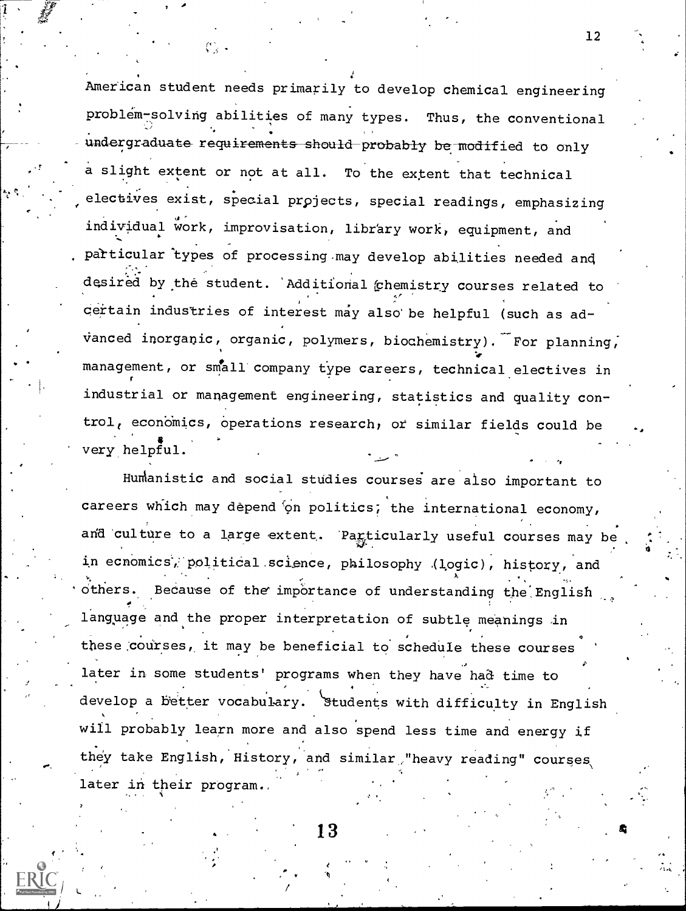American student needs primarily to develop chemical engineering problem-solving abilities of many types. Thus, the conventional undergraduate requirements should-probably be modified to only a slight extent or not at all. To the extent that technical electives exist, special projects, special readings, emphasizing individual work, improvisation, library work, equipment, and patticular"types of processing .may develop abilities needed and desired by the student. 'Additional (chemistry courses related to certain industries of interest may also be helpful (such as advanced inorganic, organic, polymers, biochemistry). For planning, management, or small company type careers, technical electives in industrial or management engineering, statistics and quality control, economics, operations research, or similar fields could be very helpful.

12

",

Humanistic and social studies courses are also important to careers which may depend on politics; the international economy, and culture to a large extent. Particularly useful courses may be in ecnomics, political science, philosophy (logic), history, and Because of the importance of understanding the English language and the proper interpretation of subtle meanings in these courses, it may be beneficial to schedule these courses later in some students' programs when they have had time to develop a better vocabulary. Students with difficulty in English will probably learn more and also spend less time and energy if they take English, History, and similar "heavy reading" courses, later in their program.

13 decreases the contract of  $\sim$  4 decrees the contract of  $\sim$  4 decrees the contract of  $\sim$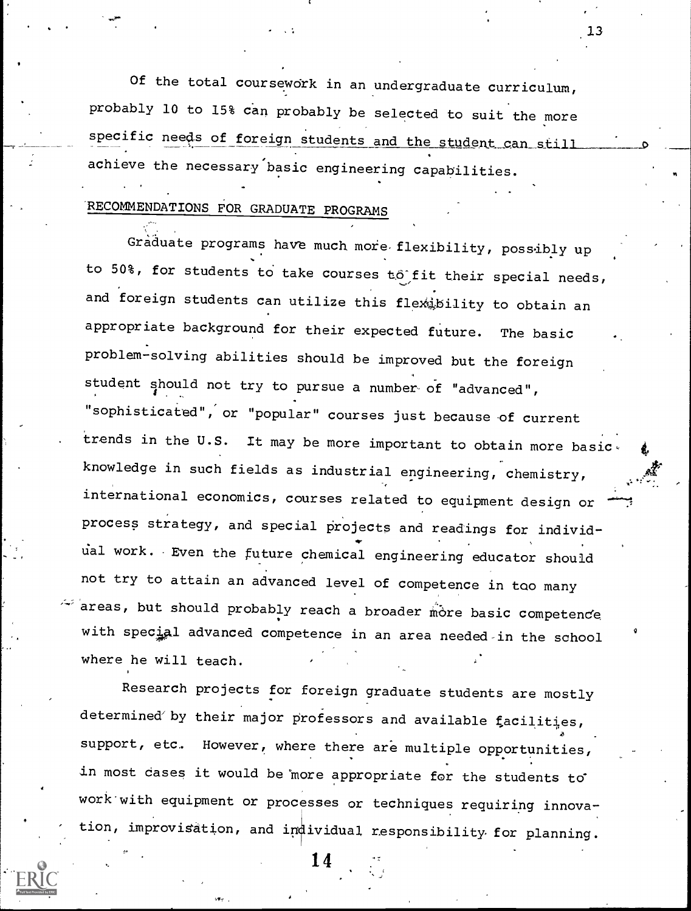Of the total coursework in an undergraduate curriculum, probably 10 to 15% can probably be selected to suit the more specific needs of foreign students and the student can still achieve the necessary basic engineering capabilities.

13

# RECOMMENDATIONS FOR GRADUATE PROGRAMS

Graduate programs have much more flexibility, possibly up to 50%, for students to take courses to fit their special needs, and foreign students can utilize this flexibility to obtain an appropriate background for their expected future. The basic problem-solving abilities should be improved but the foreign student should not try to pursue a number of "advanced", "sophisticated", or "popular" courses just because of current trends in the U.S. It may be more important to obtain more basic. knowledge in such fields as industrial engineering, chemistry, international economics, courses related to equipment design or process strategy, and special projects and readings for individdal work. Even the future chemical engineering educator should not try to attain an advanced level of competence in tao many areas, but should probably reach a broader more basic competence with special advanced competence in an area needed-in the school where he will teach.

Research projects for foreign graduate students are mostly determined by their major professors and available facilities, support, etc. However, where there are multiple opportunities, in most cases it would be more appropriate for the students to work-with equipment or processes or techniques requiring innovation, improvisation, and individual responsibility for planning.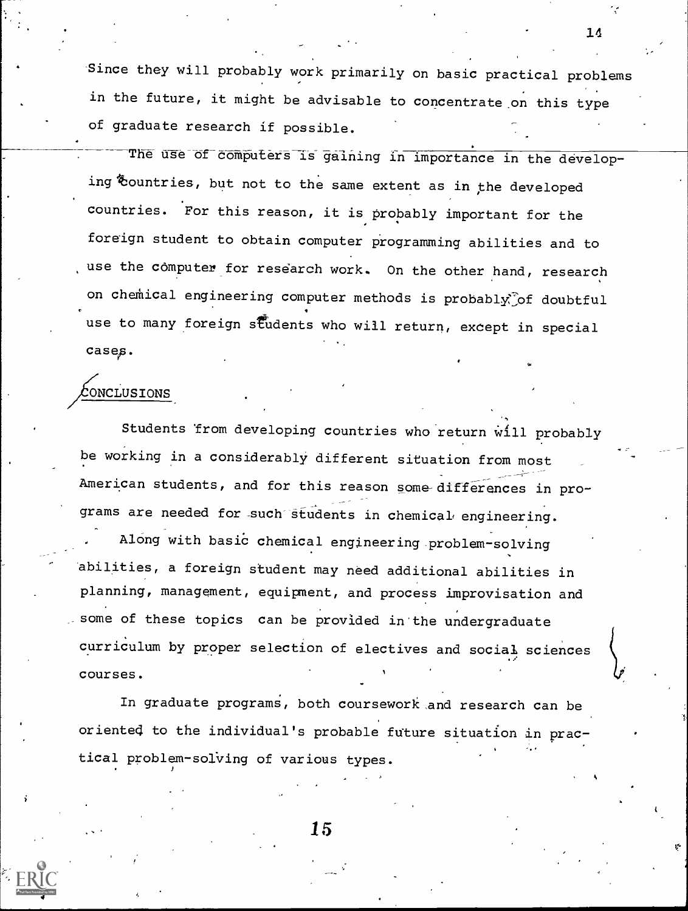Since they will probably work primarily on basic practical problems in the future, it might be advisable to concentrate.on this type of graduate research if possible.

The use of computers is gaining in importance in the developing Countries, but not to the same extent as in the developed countries. For this reason, it is probably important for the foreign student to obtain computer programming abilities and to use the computer for research work. On the other hand, research on chemical engineering computer methods is probably of doubtful use to many foreign students who will return, except in special cases.

# CONCLUSIONS

ided by ERIC

Students from developing countries who return will probably be working in a considerably different situation from most American students, and for this reason some-differences in programs are needed for such students in chemical engineering.

Along with basic chemical engineering problem-solving abilities, a foreign student may need additional abilities in planning, management, equipment, and process improvisation and some of these topics can be provided in'the undergraduate curriculum by proper selection of electives and social sciences courses.

In graduate programs, both coursework and research can be oriented to the individual's probable future situation in practical problem- solving of various types.

15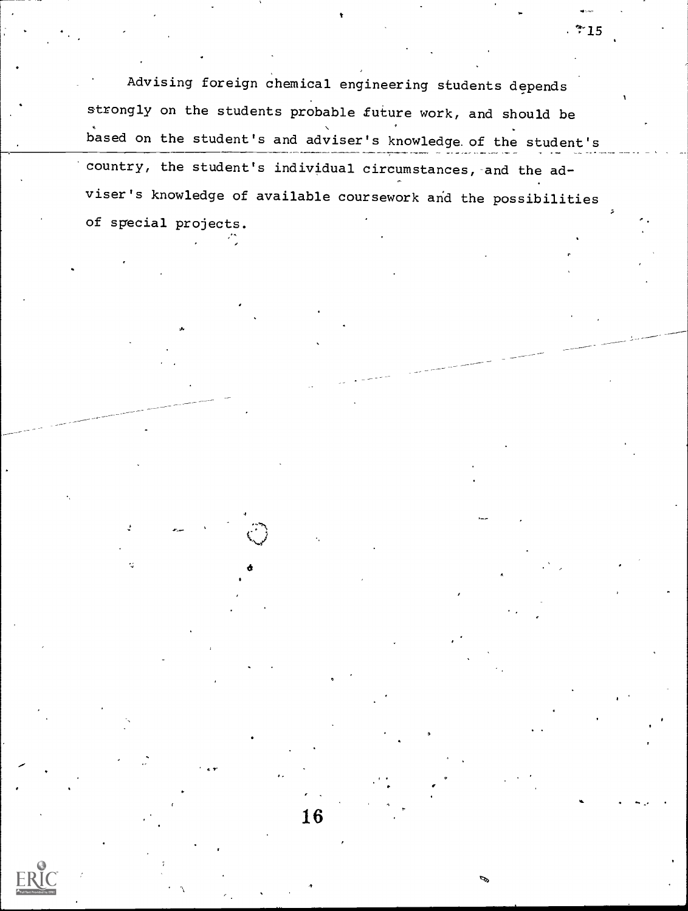Advising foreign chemical engineering students depends strongly on the students probable future work, and should be based on the student's and adviser's knowledge. of the student's 'country, the student's individual circumstances,-and the adviser's knowledge of available coursework and the possibilities of special projects.

 $\sigma$  and  $\sigma$ 

,

16

 $.715$